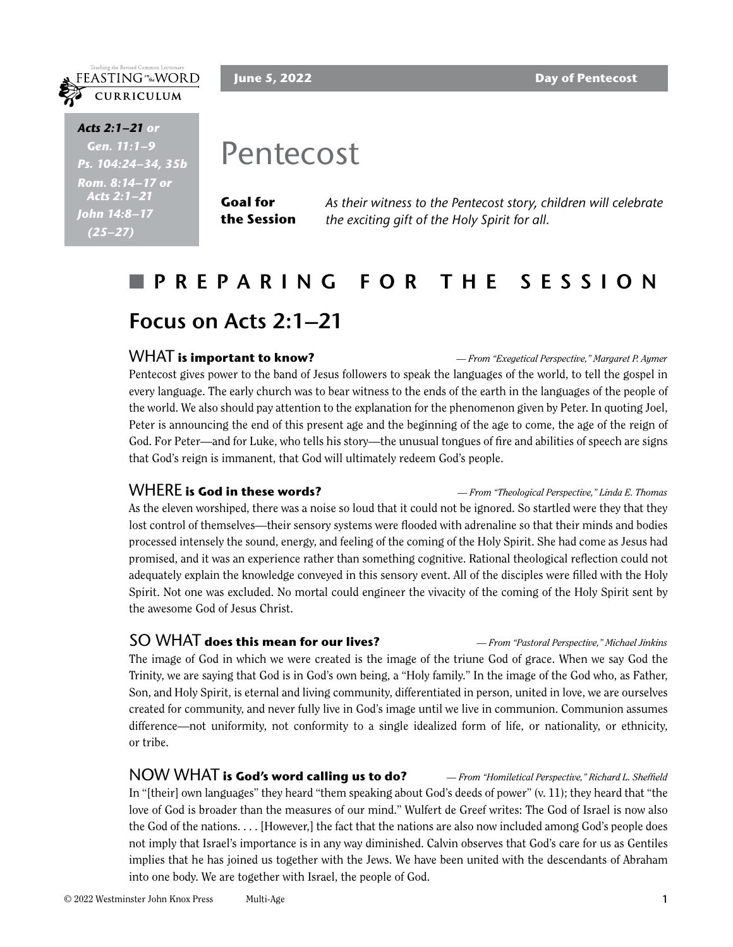

*Acts 2:1–21 or Gen. 11:1–9 Ps. 104:24–34, 35b Rom. 8:14–17 or Acts 2:1–21 John 14:8–17 (25–27)*

FEASTING<sup>on</sup>the WORD CURRICULUM

# Pentecost

**Goal for the Session** *As their witness to the Pentecost story, children will celebrate the exciting gift of the Holy Spirit for all.* 

# n **PREPARING FOR THE SESSION Focus on Acts 2:1–21**

#### WHAT **is important to know?** *— From "Exegetical Perspective," Margaret P. Aymer*

Pentecost gives power to the band of Jesus followers to speak the languages of the world, to tell the gospel in every language. The early church was to bear witness to the ends of the earth in the languages of the people of the world. We also should pay attention to the explanation for the phenomenon given by Peter. In quoting Joel, Peter is announcing the end of this present age and the beginning of the age to come, the age of the reign of God. For Peter—and for Luke, who tells his story—the unusual tongues of fire and abilities of speech are signs that God's reign is immanent, that God will ultimately redeem God's people.

#### WHERE **is God in these words?** *— From "Theological Perspective," Linda E. Thomas*

As the eleven worshiped, there was a noise so loud that it could not be ignored. So startled were they that they lost control of themselves—their sensory systems were flooded with adrenaline so that their minds and bodies processed intensely the sound, energy, and feeling of the coming of the Holy Spirit. She had come as Jesus had promised, and it was an experience rather than something cognitive. Rational theological reflection could not adequately explain the knowledge conveyed in this sensory event. All of the disciples were filled with the Holy Spirit. Not one was excluded. No mortal could engineer the vivacity of the coming of the Holy Spirit sent by the awesome God of Jesus Christ.

SO WHAT **does this mean for our lives?** *— From "Pastoral Perspective," Michael Jinkins* The image of God in which we were created is the image of the triune God of grace. When we say God the Trinity, we are saying that God is in God's own being, a "Holy family." In the image of the God who, as Father, Son, and Holy Spirit, is eternal and living community, differentiated in person, united in love, we are ourselves created for community, and never fully live in God's image until we live in communion. Communion assumes difference—not uniformity, not conformity to a single idealized form of life, or nationality, or ethnicity, or tribe.

NOW WHAT **is God's word calling us to do?** *— From "Homiletical Perspective," Richard L. Sheffield* In "[their] own languages" they heard "them speaking about God's deeds of power" (v. 11); they heard that "the love of God is broader than the measures of our mind." Wulfert de Greef writes: The God of Israel is now also the God of the nations. . . . [However,] the fact that the nations are also now included among God's people does not imply that Israel's importance is in any way diminished. Calvin observes that God's care for us as Gentiles implies that he has joined us together with the Jews. We have been united with the descendants of Abraham into one body. We are together with Israel, the people of God.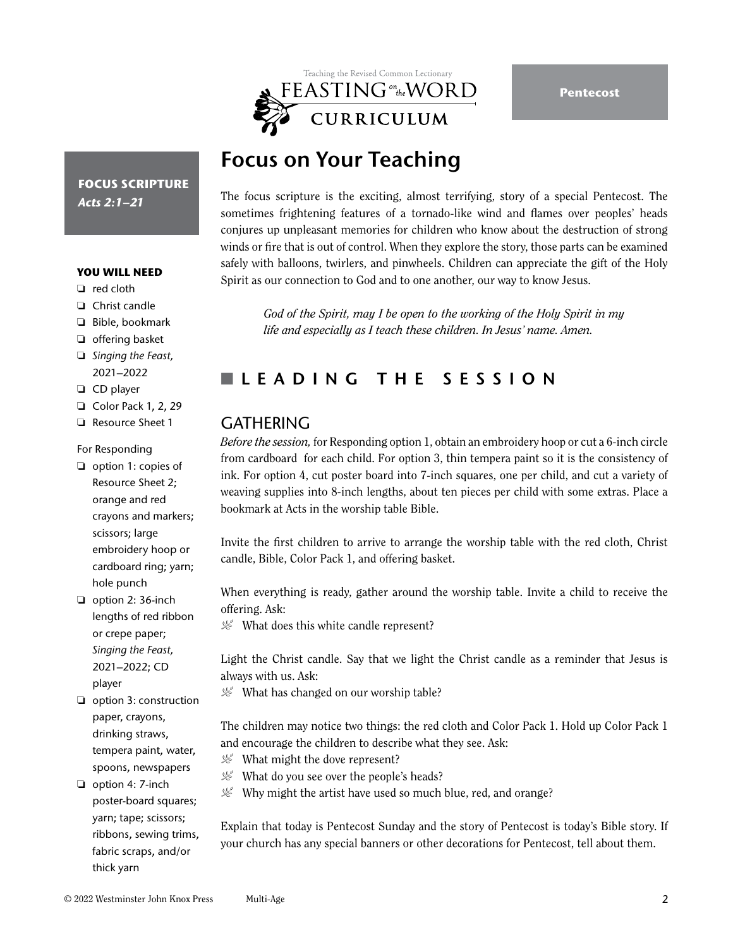

# **Focus on Your Teaching**

**FOCUS SCRIPTURE** *Acts 2:1–21*

#### **YOU WILL NEED**

- ❏ red cloth
- ❏ Christ candle
- ❏ Bible, bookmark
- ❏ offering basket
- ❏ *Singing the Feast,* 2021–2022
- ❏ CD player
- ❏ Color Pack 1, 2, 29
- ❏ Resource Sheet 1

For Responding

- ❏ option 1: copies of Resource Sheet 2; orange and red crayons and markers; scissors; large embroidery hoop or cardboard ring; yarn; hole punch
- ❏ option 2: 36-inch lengths of red ribbon or crepe paper; *Singing the Feast,* 2021–2022; CD player
- ❏ option 3: construction paper, crayons, drinking straws, tempera paint, water, spoons, newspapers
- ❏ option 4: 7-inch poster-board squares; yarn; tape; scissors; ribbons, sewing trims, fabric scraps, and/or thick yarn

The focus scripture is the exciting, almost terrifying, story of a special Pentecost. The sometimes frightening features of a tornado-like wind and flames over peoples' heads conjures up unpleasant memories for children who know about the destruction of strong winds or fire that is out of control. When they explore the story, those parts can be examined safely with balloons, twirlers, and pinwheels. Children can appreciate the gift of the Holy Spirit as our connection to God and to one another, our way to know Jesus.

*God of the Spirit, may I be open to the working of the Holy Spirit in my life and especially as I teach these children. In Jesus' name. Amen.*

## n **LEADING THE SESSION**

#### **GATHERING**

*Before the session,* for Responding option 1, obtain an embroidery hoop or cut a 6-inch circle from cardboard for each child. For option 3, thin tempera paint so it is the consistency of ink. For option 4, cut poster board into 7-inch squares, one per child, and cut a variety of weaving supplies into 8-inch lengths, about ten pieces per child with some extras. Place a bookmark at Acts in the worship table Bible.

Invite the first children to arrive to arrange the worship table with the red cloth, Christ candle, Bible, Color Pack 1, and offering basket.

When everything is ready, gather around the worship table. Invite a child to receive the offering. Ask:

 $\mathcal{L}$  What does this white candle represent?

Light the Christ candle. Say that we light the Christ candle as a reminder that Jesus is always with us. Ask:

 $\mathcal{L}$  What has changed on our worship table?

The children may notice two things: the red cloth and Color Pack 1. Hold up Color Pack 1 and encourage the children to describe what they see. Ask:

- $\mathcal{L}$  What might the dove represent?
- $\mathcal{L}$  What do you see over the people's heads?
- $\mathcal{L}$  Why might the artist have used so much blue, red, and orange?

Explain that today is Pentecost Sunday and the story of Pentecost is today's Bible story. If your church has any special banners or other decorations for Pentecost, tell about them.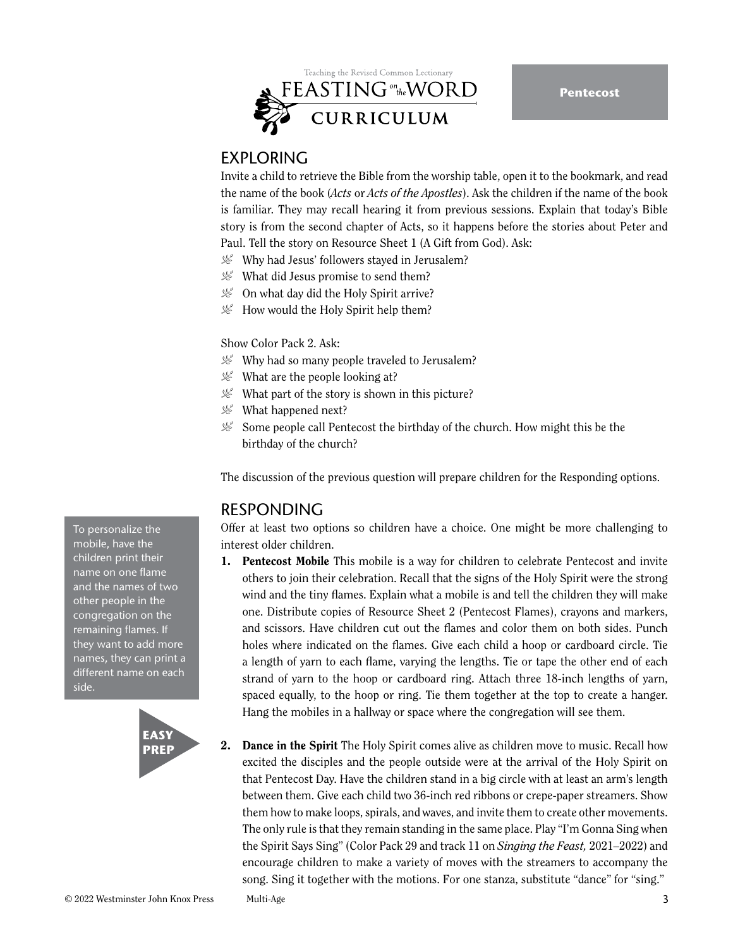

### **EXPLORING**

Invite a child to retrieve the Bible from the worship table, open it to the bookmark, and read the name of the book (*Acts* or *Acts of the Apostles*). Ask the children if the name of the book is familiar. They may recall hearing it from previous sessions. Explain that today's Bible story is from the second chapter of Acts, so it happens before the stories about Peter and Paul. Tell the story on Resource Sheet 1 (A Gift from God). Ask:

- $\mathcal{L}$  Why had Jesus' followers stayed in Jerusalem?
- $\mathcal{L}$  What did Jesus promise to send them?
- $\mathcal{L}$  On what day did the Holy Spirit arrive?
- $\mathcal{L}$  How would the Holy Spirit help them?

Show Color Pack 2. Ask:

- $\mathcal{L}$  Why had so many people traveled to Jerusalem?
- $\mathcal{L}$  What are the people looking at?
- $\mathcal{L}$  What part of the story is shown in this picture?
- $\mathcal{L}$  What happened next?
- $\mathcal{L}$  Some people call Pentecost the birthday of the church. How might this be the birthday of the church?

The discussion of the previous question will prepare children for the Responding options.

### RESPONDING

Offer at least two options so children have a choice. One might be more challenging to interest older children.

- 1. Pentecost Mobile This mobile is a way for children to celebrate Pentecost and invite others to join their celebration. Recall that the signs of the Holy Spirit were the strong wind and the tiny flames. Explain what a mobile is and tell the children they will make one. Distribute copies of Resource Sheet 2 (Pentecost Flames), crayons and markers, and scissors. Have children cut out the flames and color them on both sides. Punch holes where indicated on the flames. Give each child a hoop or cardboard circle. Tie a length of yarn to each flame, varying the lengths. Tie or tape the other end of each strand of yarn to the hoop or cardboard ring. Attach three 18-inch lengths of yarn, spaced equally, to the hoop or ring. Tie them together at the top to create a hanger. Hang the mobiles in a hallway or space where the congregation will see them.
- 2. Dance in the Spirit The Holy Spirit comes alive as children move to music. Recall how excited the disciples and the people outside were at the arrival of the Holy Spirit on that Pentecost Day. Have the children stand in a big circle with at least an arm's length between them. Give each child two 36-inch red ribbons or crepe-paper streamers. Show them how to make loops, spirals, and waves, and invite them to create other movements. The only rule is that they remain standing in the same place. Play "I'm Gonna Sing when the Spirit Says Sing" (Color Pack 29 and track 11 on *Singing the Feast,* 2021–2022) and encourage children to make a variety of moves with the streamers to accompany the song. Sing it together with the motions. For one stanza, substitute "dance" for "sing."

To personalize the mobile, have the children print their name on one flame and the names of two other people in the congregation on the remaining flames. If they want to add more names, they can print a different name on each side.

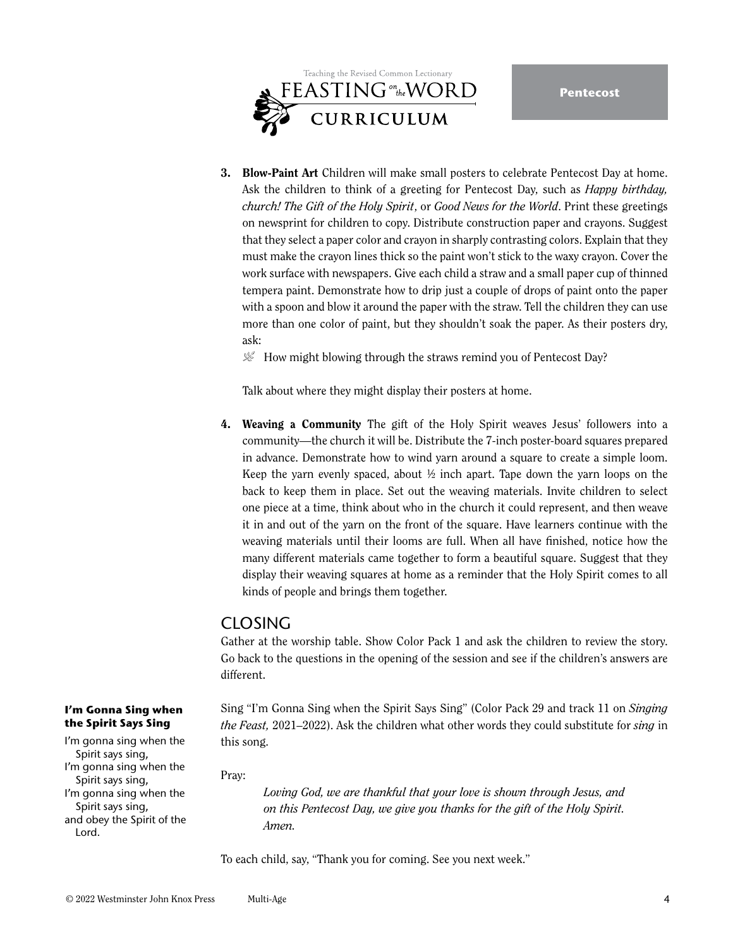

**Pentecost**

3. Blow-Paint Art Children will make small posters to celebrate Pentecost Day at home. Ask the children to think of a greeting for Pentecost Day, such as *Happy birthday, church! The Gift of the Holy Spirit*, or *Good News for the World*. Print these greetings on newsprint for children to copy. Distribute construction paper and crayons. Suggest that they select a paper color and crayon in sharply contrasting colors. Explain that they must make the crayon lines thick so the paint won't stick to the waxy crayon. Cover the work surface with newspapers. Give each child a straw and a small paper cup of thinned tempera paint. Demonstrate how to drip just a couple of drops of paint onto the paper with a spoon and blow it around the paper with the straw. Tell the children they can use more than one color of paint, but they shouldn't soak the paper. As their posters dry, ask:

 $\mathcal{L}$  How might blowing through the straws remind you of Pentecost Day?

Talk about where they might display their posters at home.

4. Weaving a Community The gift of the Holy Spirit weaves Jesus' followers into a community—the church it will be. Distribute the 7-inch poster-board squares prepared in advance. Demonstrate how to wind yarn around a square to create a simple loom. Keep the yarn evenly spaced, about  $\frac{1}{2}$  inch apart. Tape down the yarn loops on the back to keep them in place. Set out the weaving materials. Invite children to select one piece at a time, think about who in the church it could represent, and then weave it in and out of the yarn on the front of the square. Have learners continue with the weaving materials until their looms are full. When all have finished, notice how the many different materials came together to form a beautiful square. Suggest that they display their weaving squares at home as a reminder that the Holy Spirit comes to all kinds of people and brings them together.

#### **CLOSING**

Gather at the worship table. Show Color Pack 1 and ask the children to review the story. Go back to the questions in the opening of the session and see if the children's answers are different.

Sing "I'm Gonna Sing when the Spirit Says Sing" (Color Pack 29 and track 11 on *Singing the Feast,* 2021–2022). Ask the children what other words they could substitute for *sing* in this song.

Pray:

*Loving God, we are thankful that your love is shown through Jesus, and on this Pentecost Day, we give you thanks for the gift of the Holy Spirit. Amen.*

To each child, say, "Thank you for coming. See you next week."

#### **I'm Gonna Sing when the Spirit Says Sing**

I'm gonna sing when the Spirit says sing, I'm gonna sing when the Spirit says sing, I'm gonna sing when the Spirit says sing, and obey the Spirit of the Lord.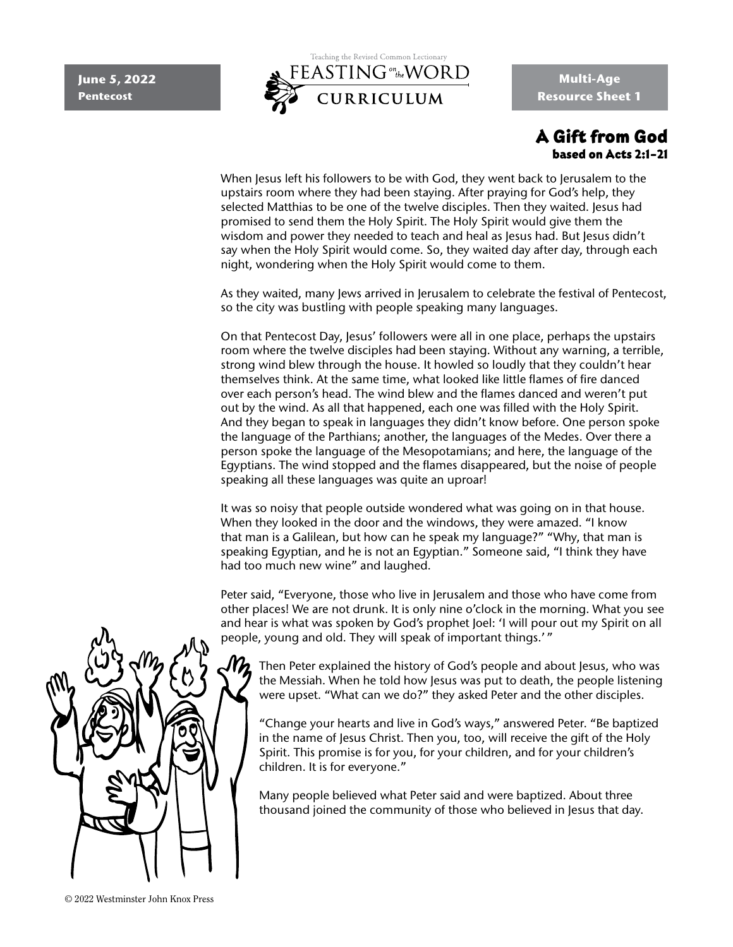

**Multi-Age Resource Sheet 1**

A Gift from God based on Acts 2:1–21

When Jesus left his followers to be with God, they went back to Jerusalem to the upstairs room where they had been staying. After praying for God's help, they selected Matthias to be one of the twelve disciples. Then they waited. Jesus had promised to send them the Holy Spirit. The Holy Spirit would give them the wisdom and power they needed to teach and heal as Jesus had. But Jesus didn't say when the Holy Spirit would come. So, they waited day after day, through each night, wondering when the Holy Spirit would come to them.

As they waited, many Jews arrived in Jerusalem to celebrate the festival of Pentecost, so the city was bustling with people speaking many languages.

On that Pentecost Day, Jesus' followers were all in one place, perhaps the upstairs room where the twelve disciples had been staying. Without any warning, a terrible, strong wind blew through the house. It howled so loudly that they couldn't hear themselves think. At the same time, what looked like little flames of fire danced over each person's head. The wind blew and the flames danced and weren't put out by the wind. As all that happened, each one was filled with the Holy Spirit. And they began to speak in languages they didn't know before. One person spoke the language of the Parthians; another, the languages of the Medes. Over there a person spoke the language of the Mesopotamians; and here, the language of the Egyptians. The wind stopped and the flames disappeared, but the noise of people speaking all these languages was quite an uproar!

It was so noisy that people outside wondered what was going on in that house. When they looked in the door and the windows, they were amazed. "I know that man is a Galilean, but how can he speak my language?" "Why, that man is speaking Egyptian, and he is not an Egyptian." Someone said, "I think they have had too much new wine" and laughed.

Peter said, "Everyone, those who live in Jerusalem and those who have come from other places! We are not drunk. It is only nine o'clock in the morning. What you see and hear is what was spoken by God's prophet Joel: 'I will pour out my Spirit on all people, young and old. They will speak of important things.'"

Then Peter explained the history of God's people and about Jesus, who was the Messiah. When he told how Jesus was put to death, the people listening were upset. "What can we do?" they asked Peter and the other disciples.

"Change your hearts and live in God's ways," answered Peter. "Be baptized in the name of Jesus Christ. Then you, too, will receive the gift of the Holy Spirit. This promise is for you, for your children, and for your children's children. It is for everyone."

Many people believed what Peter said and were baptized. About three thousand joined the community of those who believed in Jesus that day.